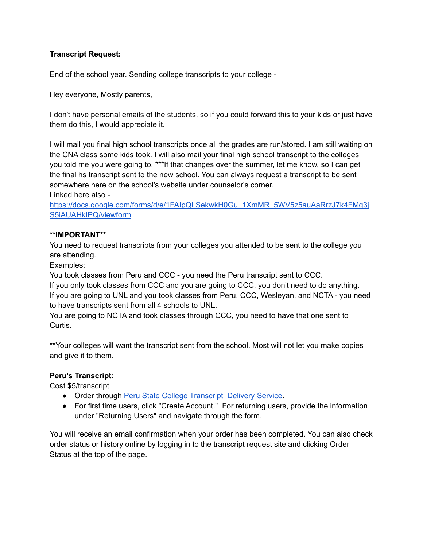# **Transcript Request:**

End of the school year. Sending college transcripts to your college -

Hey everyone, Mostly parents,

I don't have personal emails of the students, so if you could forward this to your kids or just have them do this, I would appreciate it.

I will mail you final high school transcripts once all the grades are run/stored. I am still waiting on the CNA class some kids took. I will also mail your final high school transcript to the colleges you told me you were going to. \*\*\*If that changes over the summer, let me know, so I can get the final hs transcript sent to the new school. You can always request a transcript to be sent somewhere here on the school's website under counselor's corner. Linked here also -

[https://docs.google.com/forms/d/e/1FAIpQLSekwkH0Gu\\_1XmMR\\_5WV5z5auAaRrzJ7k4FMg3j](https://docs.google.com/forms/d/e/1FAIpQLSekwkH0Gu_1XmMR_5WV5z5auAaRrzJ7k4FMg3jS5iAUAHkIPQ/viewform) [S5iAUAHkIPQ/viewform](https://docs.google.com/forms/d/e/1FAIpQLSekwkH0Gu_1XmMR_5WV5z5auAaRrzJ7k4FMg3jS5iAUAHkIPQ/viewform)

# \*\***IMPORTANT\*\***

You need to request transcripts from your colleges you attended to be sent to the college you are attending.

Examples:

You took classes from Peru and CCC - you need the Peru transcript sent to CCC.

If you only took classes from CCC and you are going to CCC, you don't need to do anything. If you are going to UNL and you took classes from Peru, CCC, Wesleyan, and NCTA - you need to have transcripts sent from all 4 schools to UNL.

You are going to NCTA and took classes through CCC, you need to have that one sent to Curtis.

\*\*Your colleges will want the transcript sent from the school. Most will not let you make copies and give it to them.

# **Peru's Transcript:**

Cost \$5/transcript

- Order through Peru State College [Transcript](https://exchange.parchment.com/send/adds/index.php?main_page=login&s_id=8mKClUncXDwtXS3w) Delivery Service.
- For first time users, click "Create Account." For returning users, provide the information under "Returning Users" and navigate through the form.

You will receive an email confirmation when your order has been completed. You can also check order status or history online by logging in to the transcript request site and clicking Order Status at the top of the page.